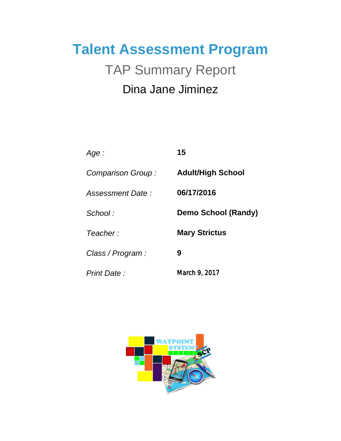# **Talent Assessment Program** Dina Jane Jiminez TAP Summary Report

| Age :              | 15                         |
|--------------------|----------------------------|
| Comparison Group:  | <b>Adult/High School</b>   |
| Assessment Date:   | 06/17/2016                 |
| School:            | <b>Demo School (Randy)</b> |
| Teacher:           | <b>Mary Strictus</b>       |
| Class / Program :  | 9                          |
| <b>Print Date:</b> | March 9, 2017              |

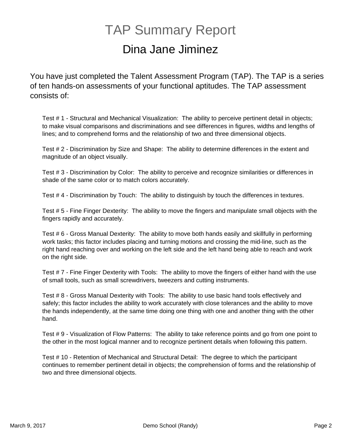### Dina Jane Jiminez TAP Summary Report

You have just completed the Talent Assessment Program (TAP). The TAP is a series of ten hands-on assessments of your functional aptitudes. The TAP assessment consists of:

Test # 1 - Structural and Mechanical Visualization: The ability to perceive pertinent detail in objects; to make visual comparisons and discriminations and see differences in figures, widths and lengths of lines; and to comprehend forms and the relationship of two and three dimensional objects.

Test # 2 - Discrimination by Size and Shape: The ability to determine differences in the extent and magnitude of an object visually.

Test # 3 - Discrimination by Color: The ability to perceive and recognize similarities or differences in shade of the same color or to match colors accurately.

Test # 4 - Discrimination by Touch: The ability to distinguish by touch the differences in textures.

Test # 5 - Fine Finger Dexterity: The ability to move the fingers and manipulate small objects with the fingers rapidly and accurately.

Test # 6 - Gross Manual Dexterity: The ability to move both hands easily and skillfully in performing work tasks; this factor includes placing and turning motions and crossing the mid-line, such as the right hand reaching over and working on the left side and the left hand being able to reach and work on the right side.

Test # 7 - Fine Finger Dexterity with Tools: The ability to move the fingers of either hand with the use of small tools, such as small screwdrivers, tweezers and cutting instruments.

Test # 8 - Gross Manual Dexterity with Tools: The ability to use basic hand tools effectively and safely; this factor includes the ability to work accurately with close tolerances and the ability to move the hands independently, at the same time doing one thing with one and another thing with the other hand.

Test # 9 - Visualization of Flow Patterns: The ability to take reference points and go from one point to the other in the most logical manner and to recognize pertinent details when following this pattern.

Test # 10 - Retention of Mechanical and Structural Detail: The degree to which the participant continues to remember pertinent detail in objects; the comprehension of forms and the relationship of two and three dimensional objects.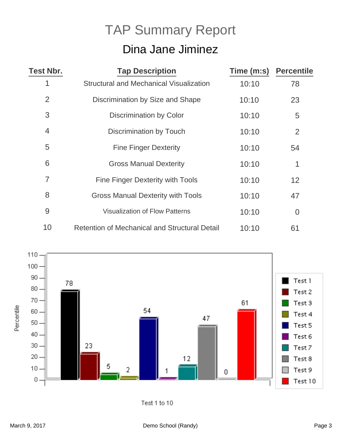## Dina Jane Jiminez TAP Summary Report

| <b>Test Nbr.</b> | <b>Tap Description</b>                               | Time (m:s) | <b>Percentile</b> |
|------------------|------------------------------------------------------|------------|-------------------|
| 1                | <b>Structural and Mechanical Visualization</b>       | 10:10      | 78                |
| $\overline{2}$   | Discrimination by Size and Shape                     | 10:10      | 23                |
| 3                | Discrimination by Color                              | 10:10      | 5                 |
| 4                | Discrimination by Touch                              | 10:10      | 2                 |
| 5                | <b>Fine Finger Dexterity</b>                         | 10:10      | 54                |
| 6                | <b>Gross Manual Dexterity</b>                        | 10:10      | 1                 |
| $\overline{7}$   | <b>Fine Finger Dexterity with Tools</b>              | 10:10      | 12                |
| 8                | <b>Gross Manual Dexterity with Tools</b>             | 10:10      | 47                |
| 9                | <b>Visualization of Flow Patterns</b>                | 10:10      | $\overline{0}$    |
| 10               | <b>Retention of Mechanical and Structural Detail</b> | 10:10      | 61                |



Test 1 to 10